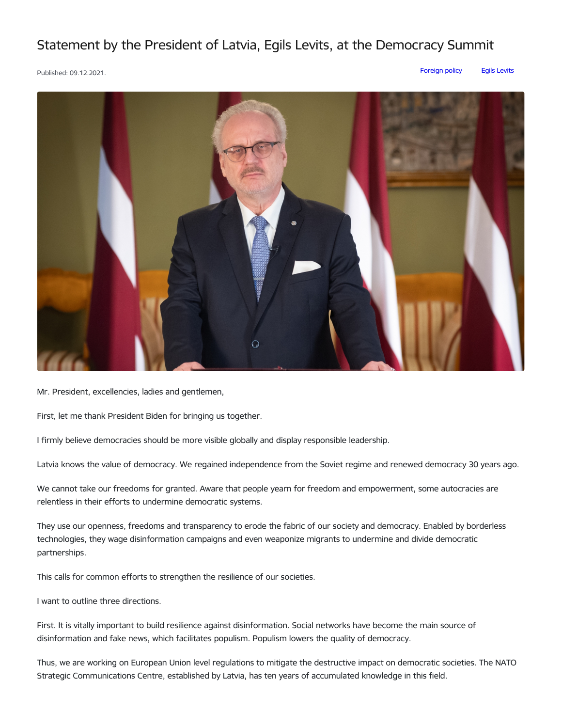## Statement by the President of Latvia, Egils Levits, at the Democracy Summit

Published: 09.12.2021. [Foreign](https://www.president.lv/en/articles?category%255B314%255D=314) policy Egils [Levits](https://www.president.lv/en/articles?category%255B276%255D=276)



Mr. President, excellencies, ladies and gentlemen,

First, let me thank President Biden for bringing us together.

I firmly believe democracies should be more visible globally and display responsible leadership.

Latvia knows the value of democracy. We regained independence from the Soviet regime and renewed democracy 30 years ago.

We cannot take our freedoms for granted. Aware that people yearn for freedom and empowerment, some autocracies are relentless in their efforts to undermine democratic systems.

They use our openness, freedoms and transparency to erode the fabric of our society and democracy. Enabled by borderless technologies, they wage disinformation campaigns and even weaponize migrants to undermine and divide democratic partnerships.

This calls for common efforts to strengthen the resilience of our societies.

I want to outline three directions.

First. It is vitally important to build resilience against disinformation. Social networks have become the main source of disinformation and fake news, which facilitates populism. Populism lowers the quality of democracy.

Thus, we are working on European Union level regulations to mitigate the destructive impact on democratic societies. The NATO Strategic Communications Centre, established by Latvia, has ten years of accumulated knowledge in this field.